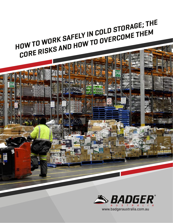

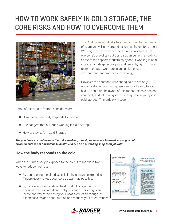

The Cold Storage industry has been around for hundreds of years and will stay around as long as frozen food does! Working in the extreme temperatures it involves is not everyone's cup of tea but doing so can be very rewarding. Some of the aspects workers enjoy about working in cold storage include generous pay and rewards, tight-knit and team orientated workforces and a high paced environment that embraces technology.

However, the constant, unrelenting cold is not only uncomfortable, it can also pose a serious hazard to your health. You must be aware of the impact the cold has on your body and internal systems to stay safe in your job in cold storage. This article will cover:

Some of the various factors considered are:

- How the human body responds to the cold
- The dangers that surround working in Cold Storage
- How to stay safe in Cold Storage

*The good news is that despite the risks involved, if best practices are followed working in cold environments is not hazardous to health and can be a rewarding, long-term job role!*

### **How the body responds to the cold**

When the human body is exposed to the cold, it responds in two ways to reduce heat loss:

- By constricting the blood vessels in the skin and extremities (fingers/toes) to keep your core as warm as possible.
- By increasing the metabolic heat product rate, either by physical work you are doing, or by shivering. Shivering is an inefficient way of increasing your heat production though, as it increases oxygen consumption and reduces your effectiveness.



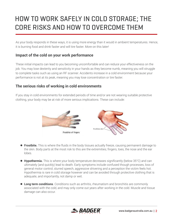As your body responds in these ways, it is using more energy than it would in ambient temperatures. Hence, it is burning food and drink faster and will tire faster. More on this later!

### **Impact of the cold on your work performance**

These initial impacts can lead to you becoming uncomfortable and can reduce your effectiveness on the job. You may lose dexterity and sensitivity in your hands as they become numb, meaning you will struggle to complete tasks such as using an RF scanner. Accidents increase in a cold environment because your performance is not at its peak, meaning you may lose concentration or tire faster.

### **The serious risks of working in cold environments**

If you stay in cold environments for extended periods of time and/or are not wearing suitable protective clothing, your body may be at risk of more serious implications. These can include:



- **Frostbite.** This is where the fluids in the body tissues actually freeze, causing permanent damage to the skin. Body parts at the most risk to this are the extremities; fingers, toes, the nose and the ear lobes.
- **Hypothermia.** This is where your body temperature decreases significantly (below 35°C) and can ultimately (and quickly) lead to death. Early symptoms include confused though processes, loss of general motor control, slurred speech, aggressive shivering and a perception the victim feels hot. Hypothermia is rare in cold storage however and can be avoided through protective clothing that is adequate, and importantly, not damp or wet.
- **Long term conditions**. Conditions such as arthritis, rheumatism and bronchitis are commonly associated with the cold, and may only come out years after working in the cold. Muscle and tissue damage can also occur.

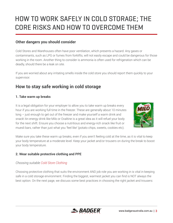### **Other dangers you should consider**

Cold Stores and Warehouses often have poor ventilation, which presents a hazard. Any gases or contaminants, such as LPG or fumes from forklifts, will not easily escape and could be dangerous for those working in the room. Another thing to consider is ammonia is often used for refrigeration which can be deadly, should there be a leak on site.

If you are worried about any irritating smells inside the cold store you should report them quickly to your supervisor.

## **How to stay safe working in cold storage**

#### **1. Take warm up breaks**

It is a legal obligation for your employer to allow you to take warm up breaks every hour if you are working full time in the freezer. These are generally about 10 minutes long – just enough to get out of the freezer and make yourself a warm drink and snack! An energy drink like Milo or Ovaltine is a great idea as it will refuel your body for the next shift. Ensure you choose a nutritious and energy-rich snack like fruit or muesli bars, rather than just what you 'feel like' (potato chips, sweets, cookies etc).



Make sure you take these warm up breaks, even if you aren't feeling cold at the time, as it is vital to keep your body temperature at a moderate level. Keep your jacket and/or trousers on during the break to boost your body temperature.

#### **2. Wear suitable protective clothing and PPE**

#### *Choosing suitable [Cold Store Clothing](https://www.badgeraustralia.com.au/product-category/clothing/chiller-freezer-wear/)*

Choosing protective clothing that suits the environment AND job role you are working in is vital in keeping safe in a cold storage environment. Finding the biggest, warmest jacket you can find is NOT always the best option. On the next page, we discuss some best practices in choosing the right jacket and trousers:

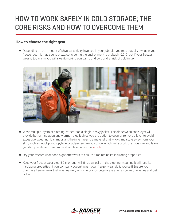### **How to choose the right gear.**

 Depending on the amount of physical activity involved in your job role, you may actually sweat in your freezer gear! It may sound crazy, considering the environment is probably -20°C, but if your freezer wear is too warm you will sweat, making you damp and cold and at risk of cold injury.



- Wear multiple layers of clothing, rather than a single, heavy jacket. The air between each layer will provide better insulation and warmth, plus it gives you the option to open or remove a layer to avoid excessive sweating. It is important the inner layer is a material that 'wicks' moisture away from your skin, such as wool, polypropylene or polyesters. Avoid cotton, which will absorb the moisture and leave you damp and cold. Read more about layering in this [article.](https://www.badgeraustralia.com.au/why-layering-is-the-most-effective-way-to-keep-warm-outdoors/)
- Dry your freezer wear each night after work to ensure it maintains its insulating properties.
- $\bullet$  Keep your freezer wear clean! Dirt or dust will fill up air cells in the clothing, meaning it will lose its insulating properties. If you company doesn't wash your freezer wear, do it yourself! Ensure you purchase freezer wear that washes well, as some brands deteriorate after a couple of washes and get colder.

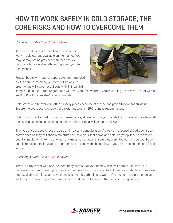#### *Choosing suitable [Cold Store Footwear](https://www.badgeraustralia.com.au/product-category/footwear/freezer-footwear/)*

There are safety boots specifically designed for work in cold storage available on the market. You may or may not be provided with these by your company, but its well worth getting a pair yourself if they don't.

Freezer boots with leather uppers are recommended, as it is porous, meaning your feet will be able to breathe and will sweat less. Boots with Thinsulate®



lining such as the Gator are great and will keep your feet warm. If you're working in a freezer, a boot with at least 500g of Thinsulate® is recommended.

Cold stores and freezers are often slippery places because of the ice and precipitation that builds up. Ensure the boots you get have a slip resistant sole; an SRC rating is recommended!

NOTE: If you can't afford to invest in freezer boots, at least ensure your safety boots have composite safety toe caps, as steel toe caps get a lot colder and your toes will get cold quickly!

The type of socks you choose is also an important consideration. As we've mentioned already, don't use cotton ones as they will absorb moisture and leave your feet damp and cold. Polypropylene versions are best for insulation. In terms of which thickness you choose, ensure they aren't too tight inside your boots, as this reduces their insulating properties and may slow the blood flow in your feet, posing the risk of cold injury.

#### *Choosing suitable [Cold Store Headwear](https://www.badgeraustralia.com.au/product-category/headwear/)*

There is a myth that you lose the most body heat out of your head, which isn't correct. However, it is certainly important to keep your core and head warm, so invest in a decent beanie or balaclava. These are both available with insulation, which makes them breathable and warm. If you require eye protection as well, ensure they are separate from the nose and mouth to prevent the eye shields fogging up.

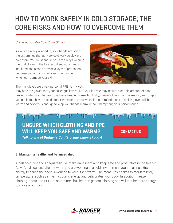#### *Choosing suitable [Cold Store Gloves](https://www.badgeraustralia.com.au/product-category/gloves/freezer-gloves/)*

As we've already alluded to, your hands are one of the extremities that get very cold, very quickly in a cold store. You must ensure you are always wearing thermal gloves in the freezer to keep your hands insulated and also to provide a layer of protection between you and any cold steel or equipment, which can damage your skin.

Thermal gloves are a very personal PPE item – you



may hate the gloves that your colleague loves! Plus, your job role may require a certain amount of hand dexterity which can be hard to achieve wearing warm, but bulky, freezer gloves. For this reason, we suggest you get in touch with a cold store PPE expert to receive their recommendations of which gloves will be warm and dexterous enough to keep your hands warm without hampering your performance.



#### **3. Maintain a healthy and balanced diet**

A balanced diet and adequate liquid intake are essential to keep safe and productive in the freezer. As we've discussed already, when you are working in a cold environment you are using extra energy because the body is working to keep itself warm. The measures it takes to regulate body temperature, such as shivering, burns energy and dehydrates your body. In addition, freezer clothing, boots and PPE are sometimes bulkier than general clothing and will require more energy to move around in.